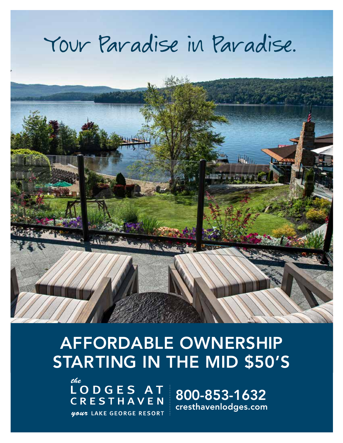# Your Paradise in Paradise.



# AFFORDABLE OWNERSHIP STARTING IN THE MID \$50'S

the LODGES AT **CRESTHAVEN** your LAKE GEORGE RESORT

800-853-1632 cresthavenlodges.com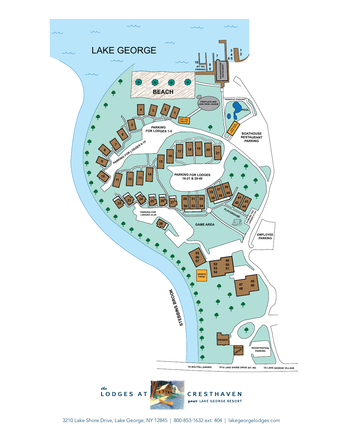



**CRESTHAVEN** your LAKE GEORGE RESORT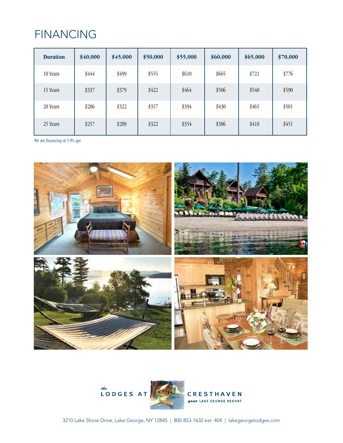### FINANCING

| <b>Duration</b> | \$40,000 | \$45,000 | \$50,000 | \$55,000 | \$60,000 | \$65,000 | \$70,000 |
|-----------------|----------|----------|----------|----------|----------|----------|----------|
| 10 Years        | \$444    | \$499    | \$555    | \$610    | \$665    | \$721    | \$776    |
| 15 Years        | \$337    | \$379    | \$422    | \$464    | \$506    | \$548    | \$590    |
| 20 Years        | \$286    | \$322    | \$357    | \$394    | \$430    | \$465    | \$501    |
| 25 Years        | \$257    | \$289    | \$322    | \$354    | \$386    | \$418    | \$451    |

We are financing at 5.9% apr.





CRESTHAVEN your LAKE GEORGE RESORT

3210 Lake Shore Drive, Lake George, NY 12845 | 800-853-1632 ext. 404 | lakegeorgelodges.com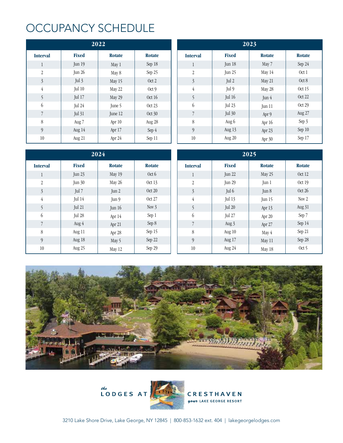#### OCCUPANCY SCHEDULE

| 2022            |               |               |               |  |  |  |
|-----------------|---------------|---------------|---------------|--|--|--|
| <b>Interval</b> | <b>Fixed</b>  | <b>Rotate</b> | <b>Rotate</b> |  |  |  |
| $\mathbf{1}$    | Jun 19        | May 1         | Sep 18        |  |  |  |
| $\overline{2}$  | Jun 26        | May 8         | Sep 25        |  |  |  |
| 3               | Jul 3         | May 15        | Oct 2         |  |  |  |
| 4               | Jul 10        | May 22        | Oct 9         |  |  |  |
| 5               | <b>Jul 17</b> | May 29        | Oct 16        |  |  |  |
| 6               | Jul 24        | June 5        | Oct 23        |  |  |  |
| 7               | <b>Jul 31</b> | June 12       | Oct 30        |  |  |  |
| 8               | Aug 7         | Apr 10        | Aug 28        |  |  |  |
| 9               | Aug 14        |               | Sep 4         |  |  |  |
| 10              | Aug 21        |               | Sep 11        |  |  |  |

| 2023            |               |               |               |  |  |  |
|-----------------|---------------|---------------|---------------|--|--|--|
| <b>Interval</b> | <b>Fixed</b>  | <b>Rotate</b> | <b>Rotate</b> |  |  |  |
| $\mathbf{1}$    | Jun 18        | May 7         | Sep 24        |  |  |  |
| $\overline{2}$  | Jun $25$      | May 14        | Oct 1         |  |  |  |
| 3               | Jul 2         | May 21        | Oct 8         |  |  |  |
| 4               | Jul 9         | May 28        | Oct 15        |  |  |  |
| 5               | Jul 16        | Jun 4         | Oct 22        |  |  |  |
| 6               | <b>Jul 23</b> | Jun 11        | Oct 29        |  |  |  |
| 7               | <b>Jul 30</b> | Apr 9         | Aug 27        |  |  |  |
| 8               | Aug 6         | Apr 16        | Sep 3         |  |  |  |
| 9               | Aug 13        | Apr 23        | Sep 10        |  |  |  |
| 10              | Aug 20        | Apr 30        | Sep 17        |  |  |  |

| 2024            |               |               |               | 2025             |              |                        |                  |  |
|-----------------|---------------|---------------|---------------|------------------|--------------|------------------------|------------------|--|
| <b>Interval</b> | <b>Fixed</b>  | <b>Rotate</b> | <b>Rotate</b> | <b>Interval</b>  | <b>Fixed</b> | <b>Rotate</b>          | <b>Rotate</b>    |  |
|                 | Jun $23$      | May 19        | Oct 6         |                  | Jun 22       | May 25                 | Oct 12           |  |
| $\overline{2}$  | <b>Jun 30</b> | May 26        | Oct 13        | $\boldsymbol{2}$ | Jun 29       | $\text{Jun } 1$        | Oct 19           |  |
| $\mathfrak{Z}$  | Jul 7         | Jun $2$       | Oct 20        | $\overline{3}$   | Jul 6        | $\operatorname{Jun} 8$ | Oct $26$         |  |
| $\overline{4}$  | Jul 14        | Jun 9         | Oct 27        | $\overline{4}$   | Jul 13       | Jun $15$               | Nov <sub>2</sub> |  |
| 5               | Jul 21        | Jun $16$      | Nov $3$       | 5                | Jul 20       | Apr 13                 | Aug 31           |  |
| $6\,$           | Jul 28        | Apr 14        | Sep 1         | $6\,$            | Jul 27       | Apr 20                 | Sep 7            |  |
| $\overline{7}$  | Aug $4$       | Apr 21        | Sep 8         | $\overline{7}$   | Aug 3        | Apr 27                 | Sep 14           |  |
| 8               | Aug 11        | Apr 28        | Sep 15        | 8                | Aug $10$     | May 4                  | Sep 21           |  |
| $\overline{9}$  | Aug 18        | May 5         | Sep 22        | 9                | Aug 17       | May 11                 | Sep 28           |  |
| 10              | Aug 25        | May 12        | Sep 29        | 10               | Aug 24       | May 18                 | Oct 5            |  |





**CRESTHAVEN** your LAKE GEORGE RESORT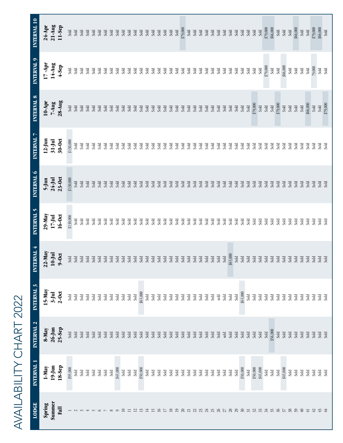#### INTERVAL 10 **LODGE INTERVAL 1 INTERVAL 2 INTERVAL 3 INTERVAL 4 INTERVAL 5 INTERVAL 6 INTERVAL 7 INTERVAL 8 INTERVAL 9 INTERVAL 10**  $24-Apr$  $21-Au$ g 11-Sep **Spring 1-May 8-May 15-May 22-May 29-May 5-Jun 12-Jun 10-Apr 17 -Apr 24-Apr Summer 19-Jun 26-Jun 3-Jul 10-Jul 17-Jul 24-Jul 31-Jul 7-Aug 14-Aug 21-Aug Fall 18-Sep 25-Sep 2-Oct 9-Oct 16-Oct 23-Oct 30-Oct 28-Aug 4-Sep 11-Sep** 20 Sold Sold Sold Sold Sold Sold Sold Sold Sold \$79,000 34 Sold Sold Sold Sold Sold Sold Sold Sold \$79,000 \$79,000 35 Sold \$56,000 Sold Sold Sold Sold Sold Sold Sold \$66,000 39 Sold Sold Sold Sold Sold Sold Sold Sold Sold \$66,000 42 Sold Sold Sold Sold Sold Sold Sold Sold 79,000 \$79,000 43 Sold Sold Sold Sold Sold Sold Sold Sold Sold \$66,000  $\frac{1}{3}$   $\frac{1}{3}$   $\frac{1}{3}$  \$95,000 Sold Sold Sold \$130,000 \$130,000 \$130,000 Sold Sold Sold Sold Sold Sold Sold Sold Sold Sold Sold Sold Sold Sold Sold Sold Sold Sold Sold Sold Sold Sold Sold Sold Sold Sold Sold Sold Sold Sold Sold Sold Sold Sold Sold Sold Sold Sold Sold Sold Sold Sold Sold Sold Sold Sold Sold Sold Sold Sold Sold Sold Sold Sold Sold Sold Sold Sold Sold Sold Sold Sold Sold Sold Sold Sold Sold Sold Sold Sold Sold Sold Sold \$45,000 Sold Sold Sold Sold Sold Sold Sold Sold Sold 10 Sold Sold Sold Sold Sold Sold Sold Sold Sold Sold 11 Sold Sold Sold Sold Sold Sold Sold Sold Sold Sold 12 Sold Sold Sold Sold Sold Sold Sold Sold Sold Sold 13 \$50,000 Sold \$65,000 Sold Sold Sold Sold Sold Sold Sold 14 Sold Sold Sold Sold Sold Sold Sold Sold Sold Sold 15 Sold Sold Sold Sold Sold Sold Sold Sold Sold Sold 16 Sold Sold Sold Sold Sold Sold Sold Sold Sold Sold 17 Sold Sold Sold Sold Sold Sold Sold Sold Sold Sold 18 Sold Sold Sold Sold Sold Sold Sold Sold Sold Sold 19 Sold Sold Sold Sold Sold Sold Sold Sold Sold Sold 21 Sold Sold Sold Sold Sold Sold Sold Sold Sold Sold 22 Sold Sold Sold Sold Sold Sold Sold Sold Sold Sold 23 Sold Sold Sold Sold Sold Sold Sold Sold Sold Sold 24 Sold Sold Sold Sold Sold Sold Sold Sold Sold Sold 25 Sold Sold Sold Sold Sold Sold Sold Sold Sold Sold 26 Sold Sold sold Sold Sold Sold Sold Sold Sold Sold 27 Sold sold Sold Sold Sold Sold Sold Sold Sold Sold 28 Sold Sold Sold \$65,000 Sold Sold Sold Sold Sold Sold 29 Sold Sold Sold Sold Sold Sold Sold Sold Sold Sold 30 \$50,000 Sold \$65,000 Sold Sold Sold Sold Sold Sold Sold 31 Sold Sold Sold Sold Sold Sold Sold Sold Sold Sold 32 \$50,000 Sold Sold Sold Sold Sold Sold \$79,000 Sold Sold 33 \$45,000 Sold Sold Sold Sold Sold Sold Sold Sold Sold 36 Sold Sold Sold Sold Sold Sold Sold \$79,000 Sold Sold 37 \$45,000 Sold Sold Sold Sold Sold Sold Sold \$66,000 Sold 38 Sold Sold Sold Sold Sold Sold Sold Sold Sold Sold 40 Sold Sold Sold Sold Sold Sold Sold Sold Sold Sold 41 Sold Sold Sold Sold Sold Sold Sold \$66,000 Sold Sold 44 Sold Sold Sold Sold Sold Sold Sold \$79,000 Sold SoldINTERVAL 9  $7 -$ Apr 14-Aug  $4-$ Sep \$79,000<br>Sold<br>Sold \$66,000 Sold<br>Sold Sold 79,000 Sold sad<br>Sad INTERVAL 8 10-Apr<br>7-Aug<br>28-Aug Sold<br>\$66,000<br>Sold<br>Sold<br>Sold<br>\$79,000  $\operatorname{\mathsf{Sold}}$ Sold Sold Sold Sold Sold<br>Sold sold<br>Sold Sold INTERVAL 7 12-Jun<br>31-Jul<br>30-0ct  $$130,000$ Sold sold Sold sold Sold Sold Sold Sold Sold  $_{\rm cold}$ Sold<br>Sold sold<br>Sold<br>Sold ad<br>ad blo. Sold Sold sold INTERVAL 6  $23-0ct$  $5$ -Jun<br>24-Jul \$130,000 Sold Sold  $333333333333333333333333333$ Sold Sold Sold Sold Sold Sold  $\overline{5}$ Sold Sold Sold Sold Sold  $\overline{3}$   $\overline{3}$   $\overline{3}$   $\overline{3}$   $\overline{3}$   $\overline{3}$ Sold INTERVAL 5 29-May  $16-0ct$  $17 -$ Jul \$130,000 sad<br>Sad Sold Sold Sold 3<br>Səla Sold sold Sold INTERVAL 4  $22-May$  $10$ -Jul  $9-0ct$ \$65,000<br>Sold<br>Sold<br>Sold Sold Sold Sold Sold Sold Sold Sold Sold  $333333333$  $333$  $33<sup>rd</sup>$ <br> $33<sup>rd</sup>$ Sold<br>Sold sad<br>sad Sold Sold Sold Sold Sold Sold Sold<br>Sold Sold<br>Sold Sold Sold<br>Sold INTERVAL 3  $5-May$  $3-$ Jul  $2-0ct$ sad<br>sad<br>sad<br>sad<br>sad<br>sad<br>sad<br>sad  $\frac{1}{2}$ Sold Sold Sold  $\frac{\text{Sold}}{\text{Sold}}$ sad<br>sad Sold Sold Sold  $33.333333333$ Sold INTERVAL 2 8-May<br>26-Jun<br>25-Sep 56,000 Sold Sold sold<br>Sold Sold Sold  $33.33333333333$ Sold Sold Sold Sold sold<br>Sold Sold Sold Sold Sold Sold Sold Sold Sold Sold Sold Sold Sold Sold Sold Sold Sold Sold Sold Sold Sold sold INTERVAL 1 18-Sep  $1$ -May<br>19-Jun \$95,000 \$45,000 \$50,000<br>\$45,000 \$45,000 \$50,000 Sold sad<br>Sad<br>Sad Sold Sold Sold Sold Sold Sold Sold Sold<br>Sold  $\operatorname{Sold}$  $\rm{Sold}$ Sold Sold Sold Sold  $\rm{Sold}$ Sold<br>Sold Sold Sold sad<br>Sad Spring<br>Summer **LODGE** Eall  $\sim$  $\sim$  $\overline{ }$  $\sqrt{ }$ ص  $\overline{\phantom{0}}$  $^{\circ}$ ີ

AVAILABILITY CHART 2022

**AVAILABILITY CHART 2022**